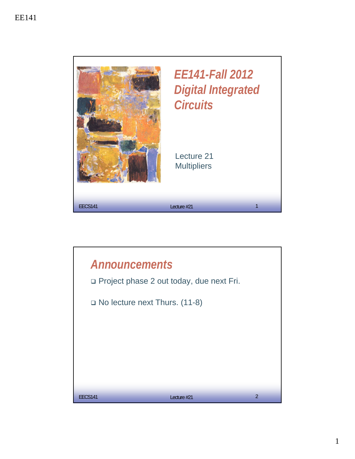

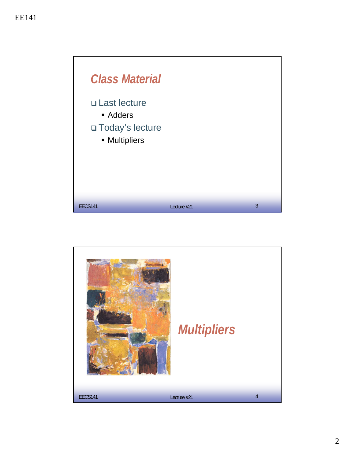

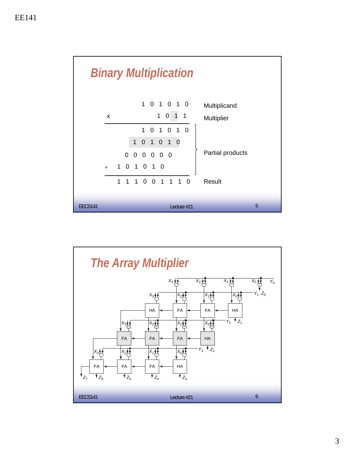

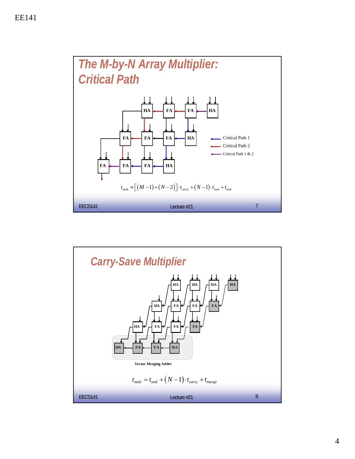

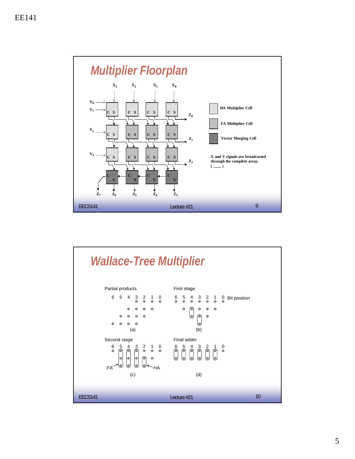